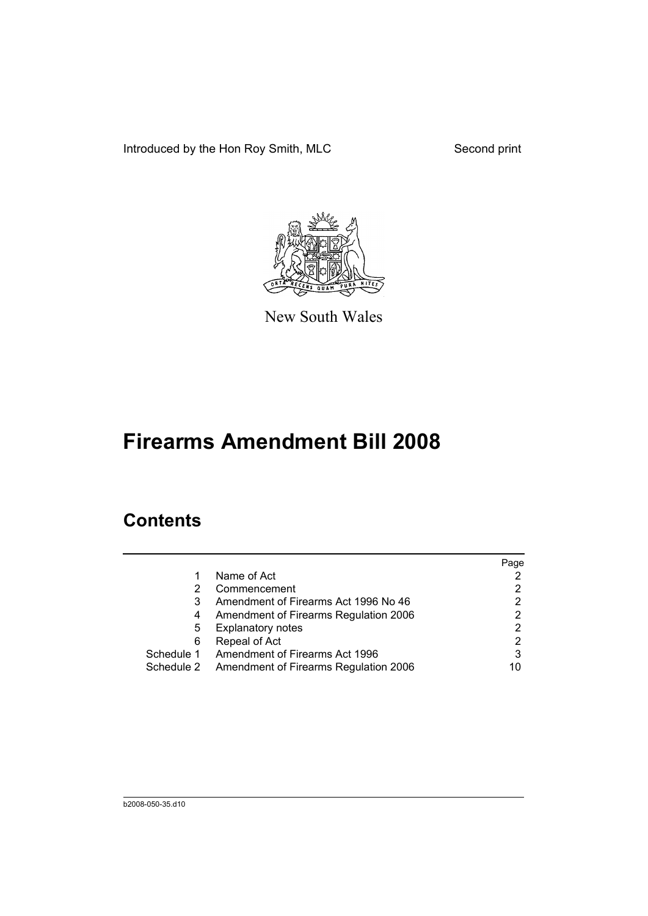Introduced by the Hon Roy Smith, MLC Second print



New South Wales

# **Firearms Amendment Bill 2008**

## **Contents**

|   |                                                  | Page |
|---|--------------------------------------------------|------|
|   | Name of Act                                      |      |
| 2 | Commencement                                     |      |
| 3 | Amendment of Firearms Act 1996 No 46             | 2    |
| 4 | Amendment of Firearms Regulation 2006            | 2    |
| 5 | <b>Explanatory notes</b>                         | 2    |
| 6 | Repeal of Act                                    | 2    |
|   | Schedule 1 Amendment of Firearms Act 1996        | 3    |
|   | Schedule 2 Amendment of Firearms Regulation 2006 | 10   |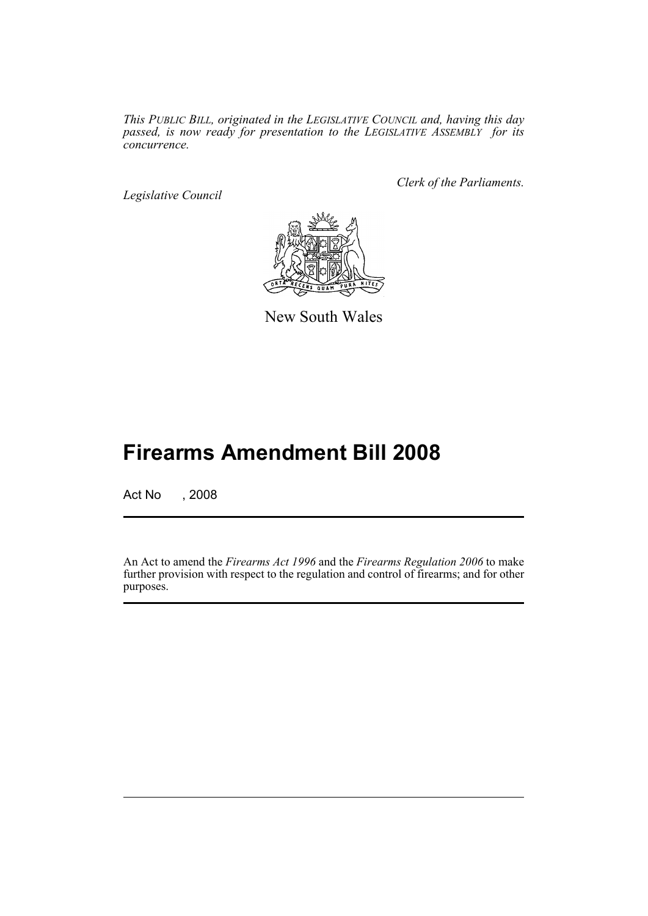*This PUBLIC BILL, originated in the LEGISLATIVE COUNCIL and, having this day passed, is now ready for presentation to the LEGISLATIVE ASSEMBLY for its concurrence.*

*Legislative Council*

*Clerk of the Parliaments.*



New South Wales

## **Firearms Amendment Bill 2008**

Act No , 2008

An Act to amend the *Firearms Act 1996* and the *Firearms Regulation 2006* to make further provision with respect to the regulation and control of firearms; and for other purposes.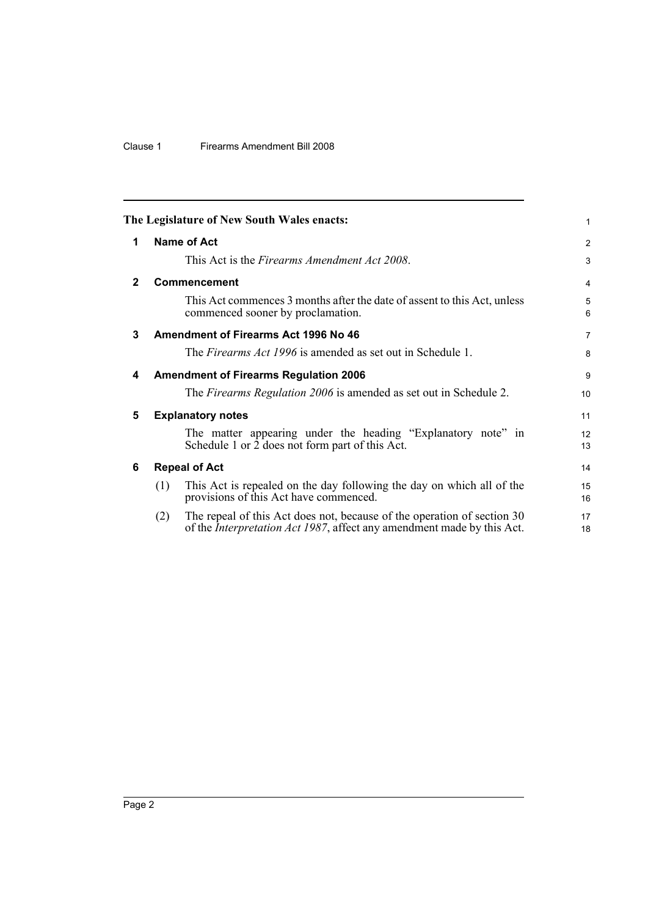## Clause 1 Firearms Amendment Bill 2008

<span id="page-3-5"></span><span id="page-3-4"></span><span id="page-3-3"></span><span id="page-3-2"></span><span id="page-3-1"></span><span id="page-3-0"></span>

|              |     | The Legislature of New South Wales enacts:                                                                                                                | 1                     |
|--------------|-----|-----------------------------------------------------------------------------------------------------------------------------------------------------------|-----------------------|
| 1            |     | <b>Name of Act</b>                                                                                                                                        | 2                     |
|              |     | This Act is the Firearms Amendment Act 2008.                                                                                                              | 3                     |
| $\mathbf{2}$ |     | Commencement                                                                                                                                              | $\overline{4}$        |
|              |     | This Act commences 3 months after the date of assent to this Act, unless<br>commenced sooner by proclamation.                                             | 5<br>6                |
| 3            |     | Amendment of Firearms Act 1996 No 46                                                                                                                      | $\overline{7}$        |
|              |     | The <i>Firearms Act 1996</i> is amended as set out in Schedule 1.                                                                                         | 8                     |
| 4            |     | <b>Amendment of Firearms Regulation 2006</b>                                                                                                              | 9                     |
|              |     | The <i>Firearms Regulation 2006</i> is amended as set out in Schedule 2.                                                                                  | 10 <sup>1</sup>       |
| 5            |     | <b>Explanatory notes</b>                                                                                                                                  | 11                    |
|              |     | The matter appearing under the heading "Explanatory note" in<br>Schedule 1 or 2 does not form part of this Act.                                           | 12 <sup>2</sup><br>13 |
| 6            |     | <b>Repeal of Act</b>                                                                                                                                      | 14                    |
|              | (1) | This Act is repealed on the day following the day on which all of the<br>provisions of this Act have commenced.                                           | 15<br>16              |
|              | (2) | The repeal of this Act does not, because of the operation of section 30<br>of the <i>Interpretation Act 1987</i> , affect any amendment made by this Act. | 17<br>18              |
|              |     |                                                                                                                                                           |                       |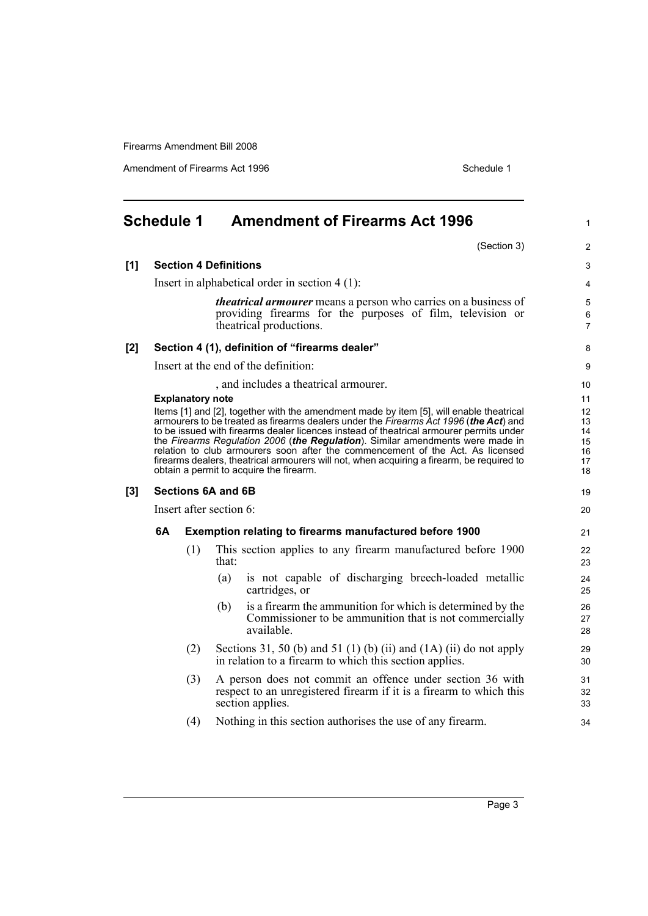Amendment of Firearms Act 1996 Schedule 1

<span id="page-4-0"></span>

|     | <b>Schedule 1</b> |                         |                                                  | <b>Amendment of Firearms Act 1996</b>                                                                                                                                                                                                                                                                                                                                                                                                                                                                                                        | 1                                            |
|-----|-------------------|-------------------------|--------------------------------------------------|----------------------------------------------------------------------------------------------------------------------------------------------------------------------------------------------------------------------------------------------------------------------------------------------------------------------------------------------------------------------------------------------------------------------------------------------------------------------------------------------------------------------------------------------|----------------------------------------------|
|     |                   |                         |                                                  | (Section 3)                                                                                                                                                                                                                                                                                                                                                                                                                                                                                                                                  | 2                                            |
| [1] |                   |                         | <b>Section 4 Definitions</b>                     |                                                                                                                                                                                                                                                                                                                                                                                                                                                                                                                                              | 3                                            |
|     |                   |                         | Insert in alphabetical order in section $4(1)$ : |                                                                                                                                                                                                                                                                                                                                                                                                                                                                                                                                              | 4                                            |
|     |                   |                         | theatrical productions.                          | <i>theatrical armourer</i> means a person who carries on a business of<br>providing firearms for the purposes of film, television or                                                                                                                                                                                                                                                                                                                                                                                                         | 5<br>6<br>$\overline{7}$                     |
| [2] |                   |                         | Section 4 (1), definition of "firearms dealer"   |                                                                                                                                                                                                                                                                                                                                                                                                                                                                                                                                              | 8                                            |
|     |                   |                         | Insert at the end of the definition:             |                                                                                                                                                                                                                                                                                                                                                                                                                                                                                                                                              | 9                                            |
|     |                   |                         |                                                  | , and includes a theatrical armourer.                                                                                                                                                                                                                                                                                                                                                                                                                                                                                                        | 10                                           |
|     |                   | <b>Explanatory note</b> | obtain a permit to acquire the firearm.          | Items [1] and [2], together with the amendment made by item [5], will enable theatrical<br>armourers to be treated as firearms dealers under the Firearms Act 1996 (the Act) and<br>to be issued with firearms dealer licences instead of theatrical armourer permits under<br>the Firearms Regulation 2006 (the Regulation). Similar amendments were made in<br>relation to club armourers soon after the commencement of the Act. As licensed<br>firearms dealers, theatrical armourers will not, when acquiring a firearm, be required to | 11<br>12<br>13<br>14<br>15<br>16<br>17<br>18 |
| [3] |                   |                         | Sections 6A and 6B                               |                                                                                                                                                                                                                                                                                                                                                                                                                                                                                                                                              | 19                                           |
|     |                   |                         | Insert after section 6:                          |                                                                                                                                                                                                                                                                                                                                                                                                                                                                                                                                              | 20                                           |
|     | 6A                |                         |                                                  | <b>Exemption relating to firearms manufactured before 1900</b>                                                                                                                                                                                                                                                                                                                                                                                                                                                                               | 21                                           |
|     |                   | (1)                     | that:                                            | This section applies to any firearm manufactured before 1900                                                                                                                                                                                                                                                                                                                                                                                                                                                                                 | 22<br>23                                     |
|     |                   |                         | (a)<br>cartridges, or                            | is not capable of discharging breech-loaded metallic                                                                                                                                                                                                                                                                                                                                                                                                                                                                                         | 24<br>25                                     |
|     |                   |                         | (b)<br>available.                                | is a firearm the ammunition for which is determined by the<br>Commissioner to be ammunition that is not commercially                                                                                                                                                                                                                                                                                                                                                                                                                         | 26<br>27<br>28                               |
|     |                   | (2)                     |                                                  | Sections 31, 50 (b) and 51 (1) (b) (ii) and $(1A)$ (ii) do not apply<br>in relation to a firearm to which this section applies.                                                                                                                                                                                                                                                                                                                                                                                                              | 29<br>30                                     |
|     |                   | (3)                     | section applies.                                 | A person does not commit an offence under section 36 with<br>respect to an unregistered firearm if it is a firearm to which this                                                                                                                                                                                                                                                                                                                                                                                                             | 31<br>32<br>33                               |
|     |                   | (4)                     |                                                  | Nothing in this section authorises the use of any firearm.                                                                                                                                                                                                                                                                                                                                                                                                                                                                                   | 34                                           |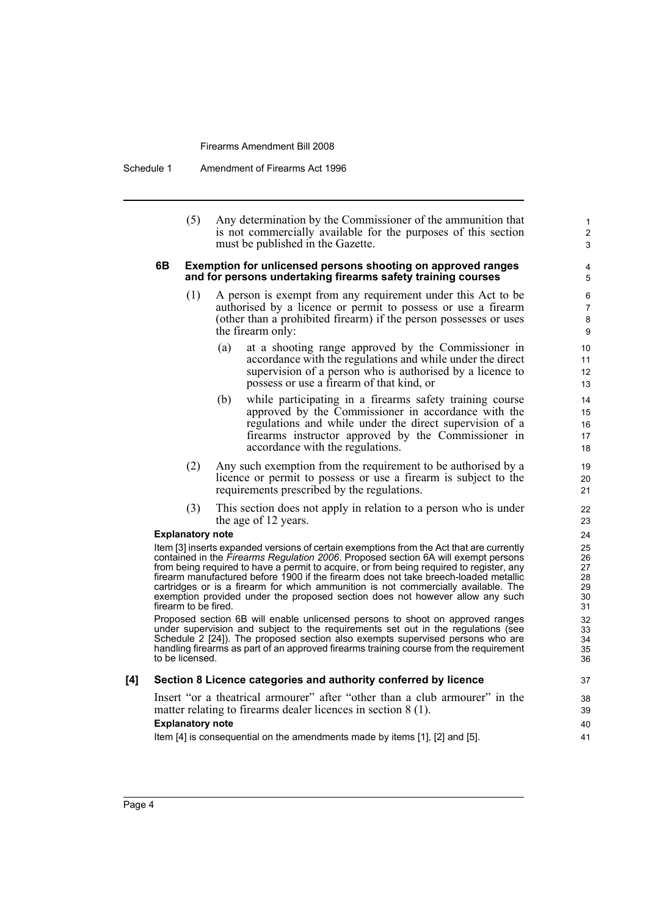Schedule 1 Amendment of Firearms Act 1996

(5) Any determination by the Commissioner of the ammunition that is not commercially available for the purposes of this section must be published in the Gazette.

1 2 3

#### **6B Exemption for unlicensed persons shooting on approved ranges and for persons undertaking firearms safety training courses**

- (1) A person is exempt from any requirement under this Act to be authorised by a licence or permit to possess or use a firearm (other than a prohibited firearm) if the person possesses or uses the firearm only:
	- (a) at a shooting range approved by the Commissioner in accordance with the regulations and while under the direct supervision of a person who is authorised by a licence to possess or use a firearm of that kind, or
	- (b) while participating in a firearms safety training course approved by the Commissioner in accordance with the regulations and while under the direct supervision of a firearms instructor approved by the Commissioner in accordance with the regulations.
- (2) Any such exemption from the requirement to be authorised by a licence or permit to possess or use a firearm is subject to the requirements prescribed by the regulations.
- (3) This section does not apply in relation to a person who is under the age of 12 years.

#### **Explanatory note**

Item [3] inserts expanded versions of certain exemptions from the Act that are currently contained in the *Firearms Regulation 2006*. Proposed section 6A will exempt persons from being required to have a permit to acquire, or from being required to register, any firearm manufactured before 1900 if the firearm does not take breech-loaded metallic cartridges or is a firearm for which ammunition is not commercially available. The exemption provided under the proposed section does not however allow any such firearm to be fired.

Proposed section 6B will enable unlicensed persons to shoot on approved ranges under supervision and subject to the requirements set out in the regulations (see Schedule 2 [24]). The proposed section also exempts supervised persons who are handling firearms as part of an approved firearms training course from the requirement to be licensed.

### **[4] Section 8 Licence categories and authority conferred by licence**

Insert "or a theatrical armourer" after "other than a club armourer" in the matter relating to firearms dealer licences in section 8 (1).

#### **Explanatory note**

Item [4] is consequential on the amendments made by items [1], [2] and [5].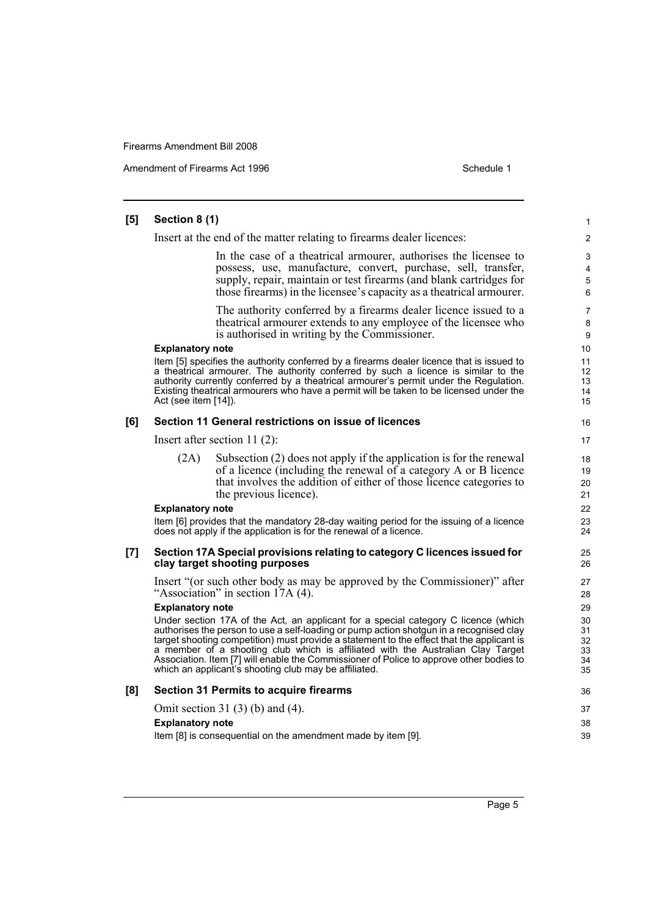Amendment of Firearms Act 1996 Schedule 1

#### **[5] Section 8 (1)** Insert at the end of the matter relating to firearms dealer licences: In the case of a theatrical armourer, authorises the licensee to possess, use, manufacture, convert, purchase, sell, transfer, supply, repair, maintain or test firearms (and blank cartridges for those firearms) in the licensee's capacity as a theatrical armourer. The authority conferred by a firearms dealer licence issued to a theatrical armourer extends to any employee of the licensee who is authorised in writing by the Commissioner. **Explanatory note** Item [5] specifies the authority conferred by a firearms dealer licence that is issued to a theatrical armourer. The authority conferred by such a licence is similar to the authority currently conferred by a theatrical armourer's permit under the Regulation. Existing theatrical armourers who have a permit will be taken to be licensed under the Act (see item [14]). **[6] Section 11 General restrictions on issue of licences** Insert after section 11 (2): (2A) Subsection (2) does not apply if the application is for the renewal of a licence (including the renewal of a category A or B licence that involves the addition of either of those licence categories to the previous licence). **Explanatory note** Item [6] provides that the mandatory 28-day waiting period for the issuing of a licence does not apply if the application is for the renewal of a licence. **[7] Section 17A Special provisions relating to category C licences issued for clay target shooting purposes** Insert "(or such other body as may be approved by the Commissioner)" after "Association" in section 17A (4). **Explanatory note** Under section 17A of the Act, an applicant for a special category C licence (which authorises the person to use a self-loading or pump action shotgun in a recognised clay target shooting competition) must provide a statement to the effect that the applicant is a member of a shooting club which is affiliated with the Australian Clay Target Association. Item [7] will enable the Commissioner of Police to approve other bodies to which an applicant's shooting club may be affiliated. **[8] Section 31 Permits to acquire firearms** Omit section 31 (3) (b) and (4). **Explanatory note** Item [8] is consequential on the amendment made by item [9]. 1  $\mathfrak{p}$ 3 4 5 6 7 8 9 10 11 12 13 14 15 16 17 18 19 20 21 22 23 24 25 26 27 28 29 30 31 32 33 34 35 36 37 38 39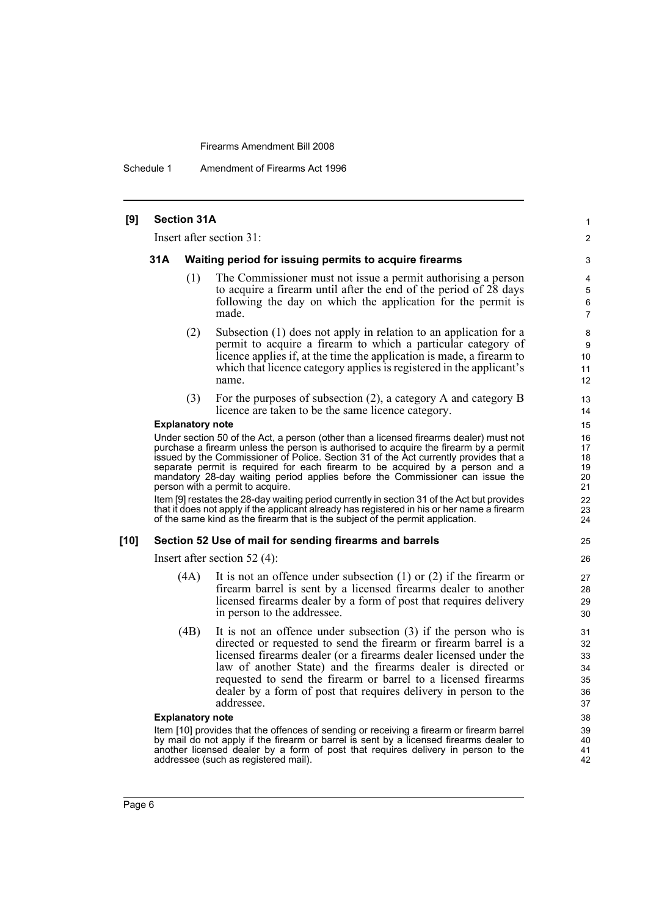Schedule 1 Amendment of Firearms Act 1996

## **[9] Section 31A** Insert after section 31: **31A Waiting period for issuing permits to acquire firearms** (1) The Commissioner must not issue a permit authorising a person to acquire a firearm until after the end of the period of 28 days following the day on which the application for the permit is made. (2) Subsection (1) does not apply in relation to an application for a permit to acquire a firearm to which a particular category of licence applies if, at the time the application is made, a firearm to which that licence category applies is registered in the applicant's name. (3) For the purposes of subsection (2), a category A and category B licence are taken to be the same licence category. **Explanatory note** Under section 50 of the Act, a person (other than a licensed firearms dealer) must not purchase a firearm unless the person is authorised to acquire the firearm by a permit issued by the Commissioner of Police. Section 31 of the Act currently provides that a separate permit is required for each firearm to be acquired by a person and a mandatory 28-day waiting period applies before the Commissioner can issue the person with a permit to acquire. Item [9] restates the 28-day waiting period currently in section 31 of the Act but provides that it does not apply if the applicant already has registered in his or her name a firearm of the same kind as the firearm that is the subject of the permit application. **[10] Section 52 Use of mail for sending firearms and barrels** Insert after section 52 (4): (4A) It is not an offence under subsection (1) or (2) if the firearm or firearm barrel is sent by a licensed firearms dealer to another licensed firearms dealer by a form of post that requires delivery in person to the addressee. (4B) It is not an offence under subsection (3) if the person who is directed or requested to send the firearm or firearm barrel is a licensed firearms dealer (or a firearms dealer licensed under the law of another State) and the firearms dealer is directed or requested to send the firearm or barrel to a licensed firearms dealer by a form of post that requires delivery in person to the addressee. **Explanatory note** Item [10] provides that the offences of sending or receiving a firearm or firearm barrel by mail do not apply if the firearm or barrel is sent by a licensed firearms dealer to another licensed dealer by a form of post that requires delivery in person to the addressee (such as registered mail).

1  $\mathfrak{p}$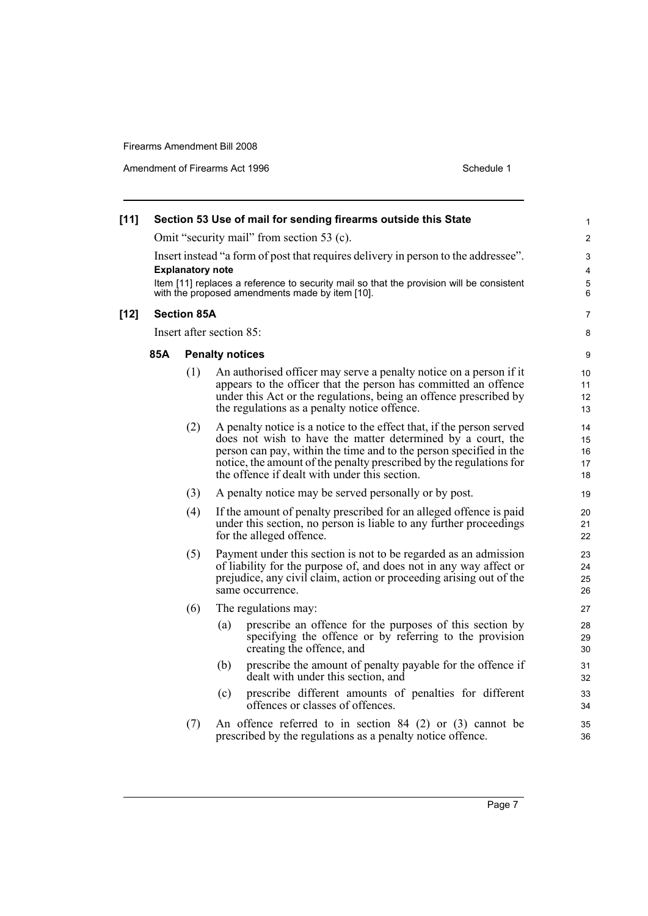Amendment of Firearms Act 1996 Schedule 1

| $[11]$ |     |                         | Section 53 Use of mail for sending firearms outside this State                                                                                                                                                                                                                                                                     | 1                          |
|--------|-----|-------------------------|------------------------------------------------------------------------------------------------------------------------------------------------------------------------------------------------------------------------------------------------------------------------------------------------------------------------------------|----------------------------|
|        |     |                         | Omit "security mail" from section 53 (c).                                                                                                                                                                                                                                                                                          | $\overline{\mathbf{c}}$    |
|        |     | <b>Explanatory note</b> | Insert instead "a form of post that requires delivery in person to the addressee".<br>Item [11] replaces a reference to security mail so that the provision will be consistent                                                                                                                                                     | 3<br>4<br>5                |
|        |     |                         | with the proposed amendments made by item [10].                                                                                                                                                                                                                                                                                    | 6                          |
| $[12]$ |     | <b>Section 85A</b>      |                                                                                                                                                                                                                                                                                                                                    | 7                          |
|        |     |                         | Insert after section 85:                                                                                                                                                                                                                                                                                                           | 8                          |
|        | 85A |                         | <b>Penalty notices</b>                                                                                                                                                                                                                                                                                                             | 9                          |
|        |     | (1)                     | An authorised officer may serve a penalty notice on a person if it<br>appears to the officer that the person has committed an offence<br>under this Act or the regulations, being an offence prescribed by<br>the regulations as a penalty notice offence.                                                                         | 10<br>11<br>12<br>13       |
|        |     | (2)                     | A penalty notice is a notice to the effect that, if the person served<br>does not wish to have the matter determined by a court, the<br>person can pay, within the time and to the person specified in the<br>notice, the amount of the penalty prescribed by the regulations for<br>the offence if dealt with under this section. | 14<br>15<br>16<br>17<br>18 |
|        |     | (3)                     | A penalty notice may be served personally or by post.                                                                                                                                                                                                                                                                              | 19                         |
|        |     | (4)                     | If the amount of penalty prescribed for an alleged offence is paid<br>under this section, no person is liable to any further proceedings<br>for the alleged offence.                                                                                                                                                               | 20<br>21<br>22             |
|        |     | (5)                     | Payment under this section is not to be regarded as an admission<br>of liability for the purpose of, and does not in any way affect or<br>prejudice, any civil claim, action or proceeding arising out of the<br>same occurrence.                                                                                                  | 23<br>24<br>25<br>26       |
|        |     | (6)                     | The regulations may:                                                                                                                                                                                                                                                                                                               | 27                         |
|        |     |                         | prescribe an offence for the purposes of this section by<br>(a)<br>specifying the offence or by referring to the provision<br>creating the offence, and                                                                                                                                                                            | 28<br>29<br>30             |
|        |     |                         | (b)<br>prescribe the amount of penalty payable for the offence if<br>dealt with under this section, and                                                                                                                                                                                                                            | 31<br>32                   |
|        |     |                         | prescribe different amounts of penalties for different<br>(c)<br>offences or classes of offences.                                                                                                                                                                                                                                  | 33<br>34                   |
|        |     | (7)                     | An offence referred to in section $84$ (2) or (3) cannot be<br>prescribed by the regulations as a penalty notice offence.                                                                                                                                                                                                          | 35<br>36                   |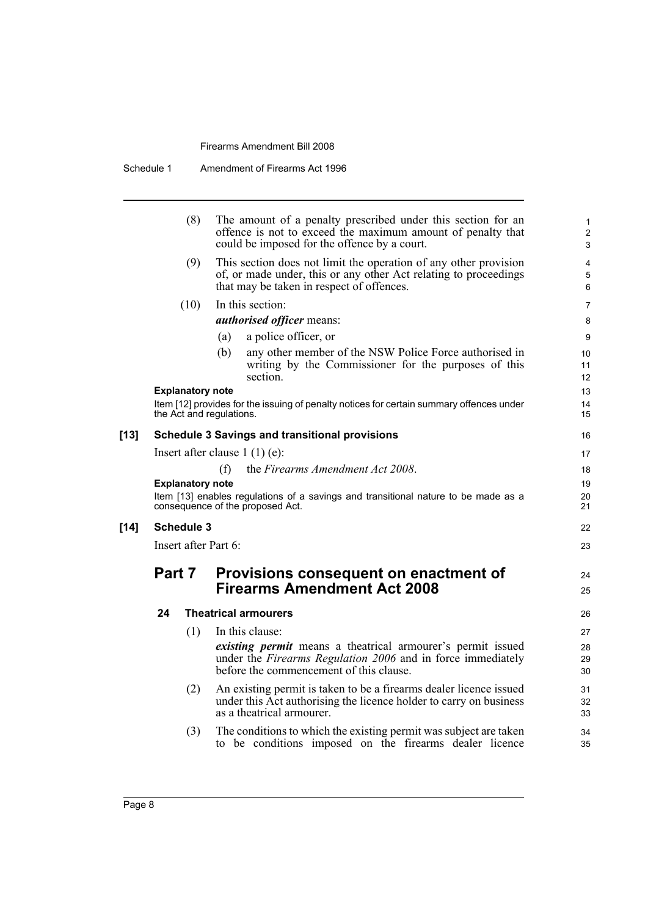|        |        | (8)                     | The amount of a penalty prescribed under this section for an<br>offence is not to exceed the maximum amount of penalty that<br>could be imposed for the offence by a court.       | $\mathbf{1}$<br>$\overline{2}$<br>3 |
|--------|--------|-------------------------|-----------------------------------------------------------------------------------------------------------------------------------------------------------------------------------|-------------------------------------|
|        |        | (9)                     | This section does not limit the operation of any other provision<br>of, or made under, this or any other Act relating to proceedings<br>that may be taken in respect of offences. | 4<br>5<br>6                         |
|        |        | (10)                    | In this section:                                                                                                                                                                  | $\overline{7}$                      |
|        |        |                         | <i>authorised officer means:</i>                                                                                                                                                  | 8                                   |
|        |        |                         | a police officer, or<br>(a)                                                                                                                                                       | 9                                   |
|        |        |                         | any other member of the NSW Police Force authorised in<br>(b)<br>writing by the Commissioner for the purposes of this<br>section.                                                 | 10<br>11<br>12                      |
|        |        | <b>Explanatory note</b> |                                                                                                                                                                                   | 13                                  |
|        |        |                         | Item [12] provides for the issuing of penalty notices for certain summary offences under<br>the Act and regulations.                                                              | 14<br>15                            |
| $[13]$ |        |                         | <b>Schedule 3 Savings and transitional provisions</b>                                                                                                                             | 16                                  |
|        |        |                         | Insert after clause $1(1)(e)$ :                                                                                                                                                   | 17                                  |
|        |        |                         | (f)<br>the Firearms Amendment Act 2008.                                                                                                                                           | 18                                  |
|        |        | <b>Explanatory note</b> |                                                                                                                                                                                   | 19                                  |
|        |        |                         | Item [13] enables regulations of a savings and transitional nature to be made as a<br>consequence of the proposed Act.                                                            | 20<br>21                            |
| $[14]$ |        | <b>Schedule 3</b>       |                                                                                                                                                                                   | 22                                  |
|        |        | Insert after Part 6:    |                                                                                                                                                                                   | 23                                  |
|        | Part 7 |                         | Provisions consequent on enactment of<br><b>Firearms Amendment Act 2008</b>                                                                                                       | 24                                  |
|        |        |                         |                                                                                                                                                                                   | 25                                  |
|        | 24     |                         | <b>Theatrical armourers</b>                                                                                                                                                       | 26                                  |
|        |        | (1)                     | In this clause:                                                                                                                                                                   | 27                                  |
|        |        |                         | <i>existing permit</i> means a theatrical armourer's permit issued<br>under the Firearms Regulation 2006 and in force immediately<br>before the commencement of this clause.      | 28<br>29<br>30                      |
|        |        | (2)                     | An existing permit is taken to be a firearms dealer licence issued<br>under this Act authorising the licence holder to carry on business<br>as a theatrical armourer.             | 31<br>32<br>33                      |
|        |        | (3)                     | The conditions to which the existing permit was subject are taken<br>to be conditions imposed on the firearms dealer licence                                                      | 34<br>35                            |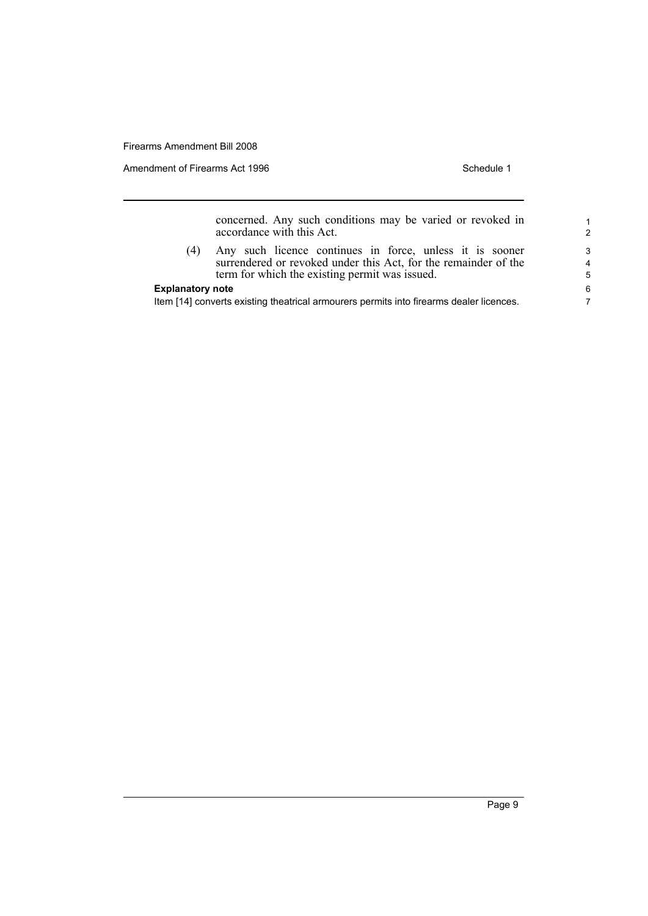Amendment of Firearms Act 1996 Schedule 1

concerned. Any such conditions may be varied or revoked in accordance with this Act.

(4) Any such licence continues in force, unless it is sooner surrendered or revoked under this Act, for the remainder of the term for which the existing permit was issued.

### **Explanatory note**

Item [14] converts existing theatrical armourers permits into firearms dealer licences.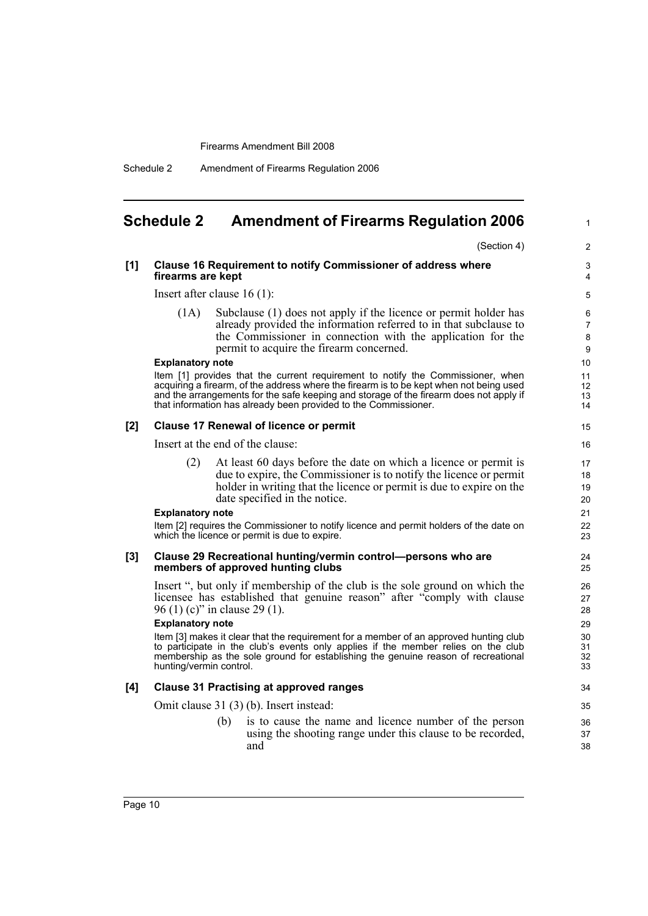Schedule 2 Amendment of Firearms Regulation 2006

## <span id="page-11-0"></span>**Schedule 2 Amendment of Firearms Regulation 2006**

(Section 4)

1

### **[1] Clause 16 Requirement to notify Commissioner of address where firearms are kept**

Insert after clause 16 (1):

(1A) Subclause (1) does not apply if the licence or permit holder has already provided the information referred to in that subclause to the Commissioner in connection with the application for the permit to acquire the firearm concerned.

#### **Explanatory note**

Item [1] provides that the current requirement to notify the Commissioner, when acquiring a firearm, of the address where the firearm is to be kept when not being used and the arrangements for the safe keeping and storage of the firearm does not apply if that information has already been provided to the Commissioner.

#### **[2] Clause 17 Renewal of licence or permit**

Insert at the end of the clause:

(2) At least 60 days before the date on which a licence or permit is due to expire, the Commissioner is to notify the licence or permit holder in writing that the licence or permit is due to expire on the date specified in the notice.

#### **Explanatory note**

Item [2] requires the Commissioner to notify licence and permit holders of the date on which the licence or permit is due to expire.

#### **[3] Clause 29 Recreational hunting/vermin control—persons who are members of approved hunting clubs**

Insert ", but only if membership of the club is the sole ground on which the licensee has established that genuine reason" after "comply with clause 96 (1) (c)" in clause 29 (1).

#### **Explanatory note**

Item [3] makes it clear that the requirement for a member of an approved hunting club to participate in the club's events only applies if the member relies on the club membership as the sole ground for establishing the genuine reason of recreational hunting/vermin control.

### **[4] Clause 31 Practising at approved ranges**

Omit clause 31 (3) (b). Insert instead:

(b) is to cause the name and licence number of the person using the shooting range under this clause to be recorded, and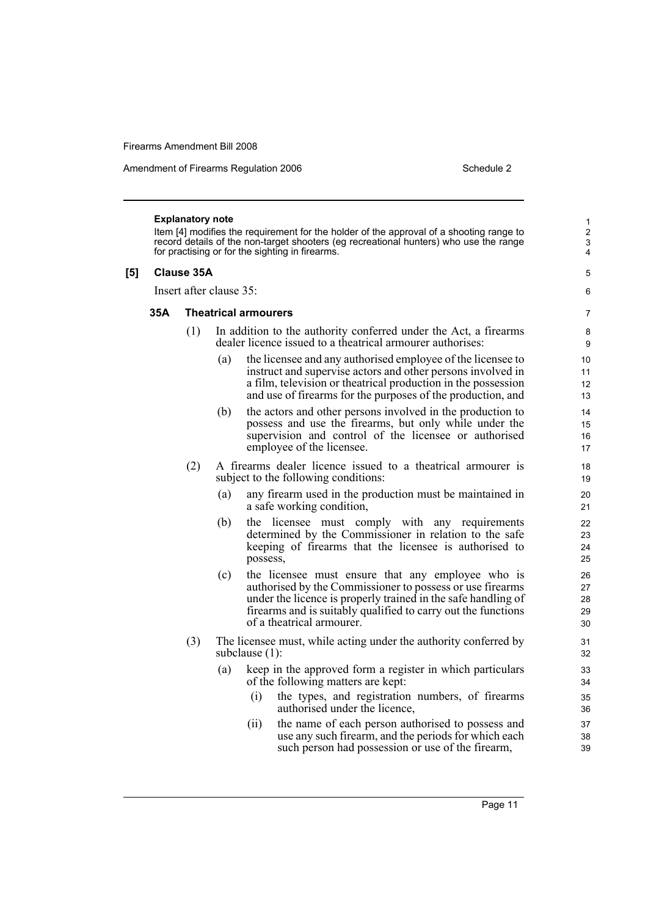Amendment of Firearms Regulation 2006 Schedule 2

#### **Explanatory note**

Item [4] modifies the requirement for the holder of the approval of a shooting range to record details of the non-target shooters (eg recreational hunters) who use the range for practising or for the sighting in firearms.

## **[5] Clause 35A**

Insert after clause 35:

#### **35A Theatrical armourers**

- (1) In addition to the authority conferred under the Act, a firearms dealer licence issued to a theatrical armourer authorises:
	- (a) the licensee and any authorised employee of the licensee to instruct and supervise actors and other persons involved in a film, television or theatrical production in the possession and use of firearms for the purposes of the production, and
	- (b) the actors and other persons involved in the production to possess and use the firearms, but only while under the supervision and control of the licensee or authorised employee of the licensee.
- (2) A firearms dealer licence issued to a theatrical armourer is subject to the following conditions:
	- (a) any firearm used in the production must be maintained in a safe working condition,
	- (b) the licensee must comply with any requirements determined by the Commissioner in relation to the safe keeping of firearms that the licensee is authorised to possess,
	- (c) the licensee must ensure that any employee who is authorised by the Commissioner to possess or use firearms under the licence is properly trained in the safe handling of firearms and is suitably qualified to carry out the functions of a theatrical armourer.
- (3) The licensee must, while acting under the authority conferred by subclause (1):
	- (a) keep in the approved form a register in which particulars of the following matters are kept:
		- (i) the types, and registration numbers, of firearms authorised under the licence,
		- (ii) the name of each person authorised to possess and use any such firearm, and the periods for which each such person had possession or use of the firearm,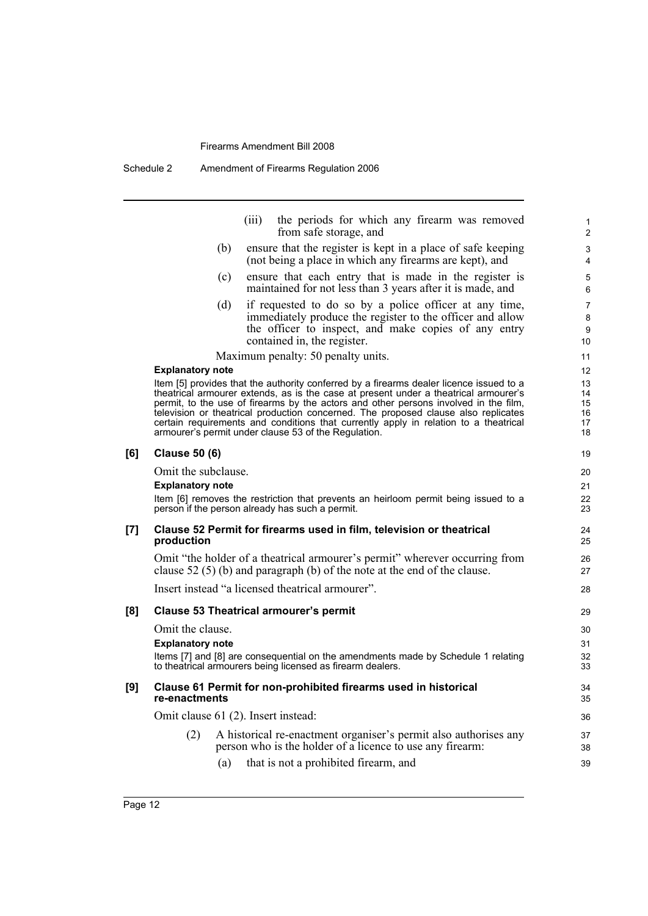Schedule 2 Amendment of Firearms Regulation 2006

|     |                                     |     | (iii) | the periods for which any firearm was removed<br>from safe storage, and                                                                                                                                                                                                                                                                                                                                                                                                                                       | $\mathbf{1}$<br>$\overline{2}$   |
|-----|-------------------------------------|-----|-------|---------------------------------------------------------------------------------------------------------------------------------------------------------------------------------------------------------------------------------------------------------------------------------------------------------------------------------------------------------------------------------------------------------------------------------------------------------------------------------------------------------------|----------------------------------|
|     |                                     | (b) |       | ensure that the register is kept in a place of safe keeping<br>(not being a place in which any firearms are kept), and                                                                                                                                                                                                                                                                                                                                                                                        | 3<br>4                           |
|     |                                     | (c) |       | ensure that each entry that is made in the register is<br>maintained for not less than 3 years after it is made, and                                                                                                                                                                                                                                                                                                                                                                                          | 5<br>6                           |
|     |                                     | (d) |       | if requested to do so by a police officer at any time,<br>immediately produce the register to the officer and allow<br>the officer to inspect, and make copies of any entry<br>contained in, the register.                                                                                                                                                                                                                                                                                                    | 7<br>8<br>9<br>10                |
|     |                                     |     |       | Maximum penalty: 50 penalty units.                                                                                                                                                                                                                                                                                                                                                                                                                                                                            | 11                               |
|     | <b>Explanatory note</b>             |     |       |                                                                                                                                                                                                                                                                                                                                                                                                                                                                                                               | $12 \overline{ }$                |
|     |                                     |     |       | Item [5] provides that the authority conferred by a firearms dealer licence issued to a<br>theatrical armourer extends, as is the case at present under a theatrical armourer's<br>permit, to the use of firearms by the actors and other persons involved in the film,<br>television or theatrical production concerned. The proposed clause also replicates<br>certain requirements and conditions that currently apply in relation to a theatrical<br>armourer's permit under clause 53 of the Regulation. | 13<br>14<br>15<br>16<br>17<br>18 |
| [6] | <b>Clause 50 (6)</b>                |     |       |                                                                                                                                                                                                                                                                                                                                                                                                                                                                                                               | 19                               |
|     | Omit the subclause.                 |     |       |                                                                                                                                                                                                                                                                                                                                                                                                                                                                                                               | 20                               |
|     | <b>Explanatory note</b>             |     |       |                                                                                                                                                                                                                                                                                                                                                                                                                                                                                                               | 21                               |
|     |                                     |     |       | Item [6] removes the restriction that prevents an heirloom permit being issued to a<br>person if the person already has such a permit.                                                                                                                                                                                                                                                                                                                                                                        | 22<br>23                         |
| [7] | production                          |     |       | Clause 52 Permit for firearms used in film, television or theatrical                                                                                                                                                                                                                                                                                                                                                                                                                                          | 24<br>25                         |
|     |                                     |     |       | Omit "the holder of a theatrical armourer's permit" wherever occurring from<br>clause 52 $(5)$ (b) and paragraph (b) of the note at the end of the clause.                                                                                                                                                                                                                                                                                                                                                    | 26<br>27                         |
|     |                                     |     |       | Insert instead "a licensed theatrical armourer".                                                                                                                                                                                                                                                                                                                                                                                                                                                              | 28                               |
| [8] |                                     |     |       | <b>Clause 53 Theatrical armourer's permit</b>                                                                                                                                                                                                                                                                                                                                                                                                                                                                 | 29                               |
|     | Omit the clause.                    |     |       |                                                                                                                                                                                                                                                                                                                                                                                                                                                                                                               | 30                               |
|     | <b>Explanatory note</b>             |     |       |                                                                                                                                                                                                                                                                                                                                                                                                                                                                                                               | 31                               |
|     |                                     |     |       | Items [7] and [8] are consequential on the amendments made by Schedule 1 relating<br>to theatrical armourers being licensed as firearm dealers.                                                                                                                                                                                                                                                                                                                                                               | 32<br>33                         |
| [9] | re-enactments                       |     |       | Clause 61 Permit for non-prohibited firearms used in historical                                                                                                                                                                                                                                                                                                                                                                                                                                               | 34<br>35                         |
|     | Omit clause 61 (2). Insert instead: |     |       |                                                                                                                                                                                                                                                                                                                                                                                                                                                                                                               | 36                               |
|     | (2)                                 |     |       | A historical re-enactment organiser's permit also authorises any                                                                                                                                                                                                                                                                                                                                                                                                                                              | 37                               |
|     |                                     |     |       | person who is the holder of a licence to use any firearm:                                                                                                                                                                                                                                                                                                                                                                                                                                                     | 38                               |
|     |                                     | (a) |       | that is not a prohibited firearm, and                                                                                                                                                                                                                                                                                                                                                                                                                                                                         | 39                               |
|     |                                     |     |       |                                                                                                                                                                                                                                                                                                                                                                                                                                                                                                               |                                  |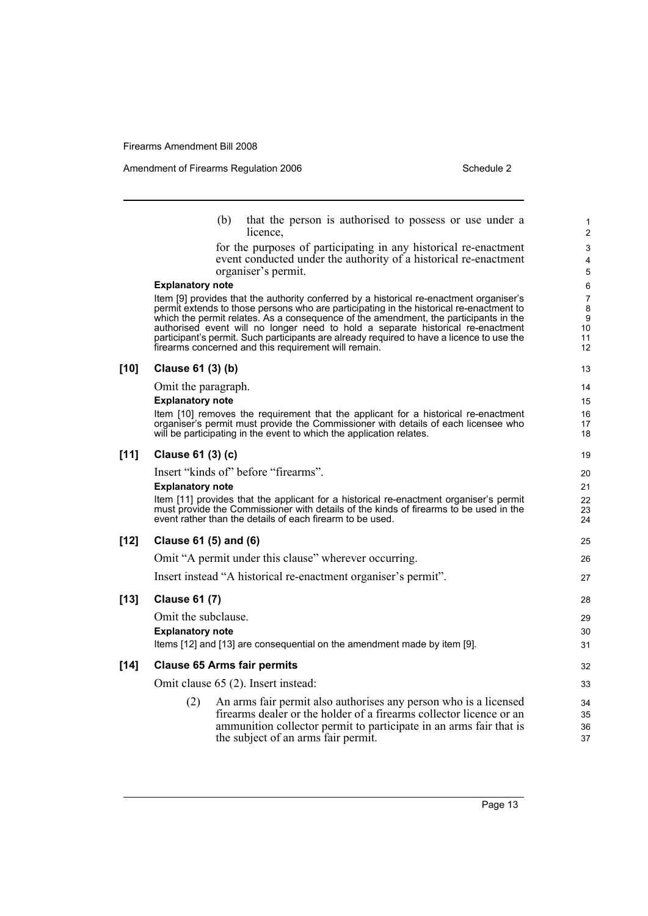|        |                         | (b)<br>that the person is authorised to possess or use under a<br>licence.                                                                                                                                                                                                                                                                                                                                                                                                                                         | 1<br>$\overline{c}$                        |
|--------|-------------------------|--------------------------------------------------------------------------------------------------------------------------------------------------------------------------------------------------------------------------------------------------------------------------------------------------------------------------------------------------------------------------------------------------------------------------------------------------------------------------------------------------------------------|--------------------------------------------|
|        |                         | for the purposes of participating in any historical re-enactment<br>event conducted under the authority of a historical re-enactment<br>organiser's permit.                                                                                                                                                                                                                                                                                                                                                        | 3<br>4<br>5                                |
|        | <b>Explanatory note</b> |                                                                                                                                                                                                                                                                                                                                                                                                                                                                                                                    | 6                                          |
|        |                         | Item [9] provides that the authority conferred by a historical re-enactment organiser's<br>permit extends to those persons who are participating in the historical re-enactment to<br>which the permit relates. As a consequence of the amendment, the participants in the<br>authorised event will no longer need to hold a separate historical re-enactment<br>participant's permit. Such participants are already required to have a licence to use the<br>firearms concerned and this requirement will remain. | $\overline{7}$<br>8<br>9<br>10<br>11<br>12 |
| $[10]$ | Clause 61 (3) (b)       |                                                                                                                                                                                                                                                                                                                                                                                                                                                                                                                    | 13                                         |
|        | Omit the paragraph.     |                                                                                                                                                                                                                                                                                                                                                                                                                                                                                                                    | 14                                         |
|        | <b>Explanatory note</b> |                                                                                                                                                                                                                                                                                                                                                                                                                                                                                                                    | 15                                         |
|        |                         | Item [10] removes the requirement that the applicant for a historical re-enactment<br>organiser's permit must provide the Commissioner with details of each licensee who<br>will be participating in the event to which the application relates.                                                                                                                                                                                                                                                                   | 16<br>17<br>18                             |
| $[11]$ | Clause 61 (3) (c)       |                                                                                                                                                                                                                                                                                                                                                                                                                                                                                                                    | 19                                         |
|        |                         | Insert "kinds of" before "firearms".                                                                                                                                                                                                                                                                                                                                                                                                                                                                               | 20                                         |
|        | <b>Explanatory note</b> |                                                                                                                                                                                                                                                                                                                                                                                                                                                                                                                    | 21                                         |
|        |                         | Item [11] provides that the applicant for a historical re-enactment organiser's permit<br>must provide the Commissioner with details of the kinds of firearms to be used in the<br>event rather than the details of each firearm to be used.                                                                                                                                                                                                                                                                       | 22<br>23<br>24                             |
| $[12]$ | Clause 61 (5) and (6)   |                                                                                                                                                                                                                                                                                                                                                                                                                                                                                                                    | 25                                         |
|        |                         | Omit "A permit under this clause" wherever occurring.                                                                                                                                                                                                                                                                                                                                                                                                                                                              | 26                                         |
|        |                         | Insert instead "A historical re-enactment organiser's permit".                                                                                                                                                                                                                                                                                                                                                                                                                                                     | 27                                         |
| $[13]$ | <b>Clause 61 (7)</b>    |                                                                                                                                                                                                                                                                                                                                                                                                                                                                                                                    | 28                                         |
|        | Omit the subclause.     |                                                                                                                                                                                                                                                                                                                                                                                                                                                                                                                    | 29                                         |
|        | <b>Explanatory note</b> |                                                                                                                                                                                                                                                                                                                                                                                                                                                                                                                    | 30                                         |
|        |                         | Items [12] and [13] are consequential on the amendment made by item [9].                                                                                                                                                                                                                                                                                                                                                                                                                                           | 31                                         |
| $[14]$ |                         | <b>Clause 65 Arms fair permits</b>                                                                                                                                                                                                                                                                                                                                                                                                                                                                                 | 32                                         |
|        |                         | Omit clause 65 (2). Insert instead:                                                                                                                                                                                                                                                                                                                                                                                                                                                                                | 33                                         |
|        | (2)                     | An arms fair permit also authorises any person who is a licensed                                                                                                                                                                                                                                                                                                                                                                                                                                                   | 34                                         |
|        |                         | firearms dealer or the holder of a firearms collector licence or an                                                                                                                                                                                                                                                                                                                                                                                                                                                | 35                                         |
|        |                         | ammunition collector permit to participate in an arms fair that is<br>the subject of an arms fair permit.                                                                                                                                                                                                                                                                                                                                                                                                          | 36<br>37                                   |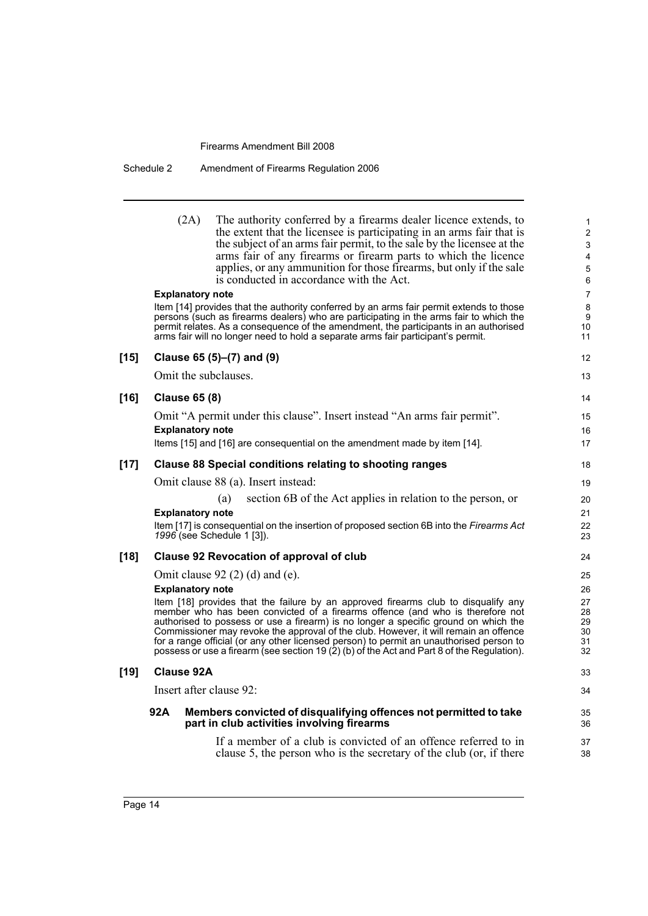| Schedule 2 | Amendment of Firearms Regulation 2006 |  |
|------------|---------------------------------------|--|
|------------|---------------------------------------|--|

|        | (2A)<br>The authority conferred by a firearms dealer licence extends, to<br>the extent that the licensee is participating in an arms fair that is<br>the subject of an arms fair permit, to the sale by the licensee at the<br>arms fair of any firearms or firearm parts to which the licence<br>applies, or any ammunition for those firearms, but only if the sale<br>is conducted in accordance with the Act.                                                                                                                           | 1<br>$\overline{2}$<br>3<br>$\overline{\mathbf{4}}$<br>5<br>6 |
|--------|---------------------------------------------------------------------------------------------------------------------------------------------------------------------------------------------------------------------------------------------------------------------------------------------------------------------------------------------------------------------------------------------------------------------------------------------------------------------------------------------------------------------------------------------|---------------------------------------------------------------|
|        | <b>Explanatory note</b>                                                                                                                                                                                                                                                                                                                                                                                                                                                                                                                     | $\overline{7}$                                                |
|        | Item [14] provides that the authority conferred by an arms fair permit extends to those<br>persons (such as firearms dealers) who are participating in the arms fair to which the<br>permit relates. As a consequence of the amendment, the participants in an authorised<br>arms fair will no longer need to hold a separate arms fair participant's permit.                                                                                                                                                                               | 8<br>9<br>10<br>11                                            |
| $[15]$ | Clause 65 (5)–(7) and (9)                                                                                                                                                                                                                                                                                                                                                                                                                                                                                                                   | 12                                                            |
|        | Omit the subclauses.                                                                                                                                                                                                                                                                                                                                                                                                                                                                                                                        | 13                                                            |
|        |                                                                                                                                                                                                                                                                                                                                                                                                                                                                                                                                             |                                                               |
| $[16]$ | <b>Clause 65 (8)</b>                                                                                                                                                                                                                                                                                                                                                                                                                                                                                                                        | 14                                                            |
|        | Omit "A permit under this clause". Insert instead "An arms fair permit".                                                                                                                                                                                                                                                                                                                                                                                                                                                                    | 15                                                            |
|        | <b>Explanatory note</b>                                                                                                                                                                                                                                                                                                                                                                                                                                                                                                                     | 16                                                            |
|        | Items [15] and [16] are consequential on the amendment made by item [14].                                                                                                                                                                                                                                                                                                                                                                                                                                                                   | 17                                                            |
| $[17]$ | <b>Clause 88 Special conditions relating to shooting ranges</b>                                                                                                                                                                                                                                                                                                                                                                                                                                                                             | 18                                                            |
|        | Omit clause 88 (a). Insert instead:                                                                                                                                                                                                                                                                                                                                                                                                                                                                                                         | 19                                                            |
|        | section 6B of the Act applies in relation to the person, or<br>(a)                                                                                                                                                                                                                                                                                                                                                                                                                                                                          | 20                                                            |
|        | <b>Explanatory note</b>                                                                                                                                                                                                                                                                                                                                                                                                                                                                                                                     | 21                                                            |
|        | Item [17] is consequential on the insertion of proposed section 6B into the Firearms Act<br>1996 (see Schedule 1 [3]).                                                                                                                                                                                                                                                                                                                                                                                                                      | 22<br>23                                                      |
| $[18]$ | <b>Clause 92 Revocation of approval of club</b>                                                                                                                                                                                                                                                                                                                                                                                                                                                                                             | 24                                                            |
|        | Omit clause $92(2)(d)$ and (e).                                                                                                                                                                                                                                                                                                                                                                                                                                                                                                             | 25                                                            |
|        | <b>Explanatory note</b>                                                                                                                                                                                                                                                                                                                                                                                                                                                                                                                     | 26                                                            |
|        | Item [18] provides that the failure by an approved firearms club to disqualify any<br>member who has been convicted of a firearms offence (and who is therefore not<br>authorised to possess or use a firearm) is no longer a specific ground on which the<br>Commissioner may revoke the approval of the club. However, it will remain an offence<br>for a range official (or any other licensed person) to permit an unauthorised person to<br>possess or use a firearm (see section 19 (2) (b) of the Act and Part 8 of the Regulation). | 27<br>28<br>29<br>30<br>31<br>32                              |
| $[19]$ | <b>Clause 92A</b>                                                                                                                                                                                                                                                                                                                                                                                                                                                                                                                           | 33                                                            |
|        | Insert after clause 92:                                                                                                                                                                                                                                                                                                                                                                                                                                                                                                                     | 34                                                            |
|        | 92A<br>Members convicted of disqualifying offences not permitted to take<br>part in club activities involving firearms                                                                                                                                                                                                                                                                                                                                                                                                                      | 35<br>36                                                      |
|        | If a member of a club is convicted of an offence referred to in<br>clause 5, the person who is the secretary of the club (or, if there                                                                                                                                                                                                                                                                                                                                                                                                      | 37<br>38                                                      |
|        |                                                                                                                                                                                                                                                                                                                                                                                                                                                                                                                                             |                                                               |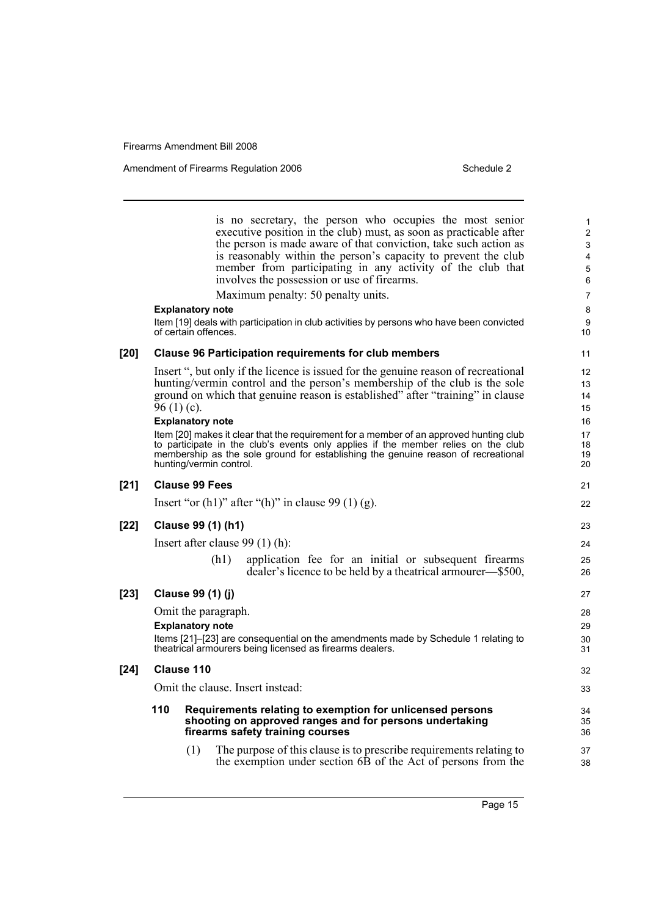Amendment of Firearms Regulation 2006 Schedule 2

is no secretary, the person who occupies the most senior executive position in the club) must, as soon as practicable after the person is made aware of that conviction, take such action as is reasonably within the person's capacity to prevent the club member from participating in any activity of the club that involves the possession or use of firearms. Maximum penalty: 50 penalty units. **Explanatory note** Item [19] deals with participation in club activities by persons who have been convicted of certain offences. **[20] Clause 96 Participation requirements for club members** Insert ", but only if the licence is issued for the genuine reason of recreational hunting/vermin control and the person's membership of the club is the sole ground on which that genuine reason is established" after "training" in clause  $96(1)(c)$ . **Explanatory note** Item [20] makes it clear that the requirement for a member of an approved hunting club to participate in the club's events only applies if the member relies on the club membership as the sole ground for establishing the genuine reason of recreational hunting/vermin control. **[21] Clause 99 Fees** Insert "or  $(h1)$ " after " $(h)$ " in clause 99 $(1)$   $(g)$ . **[22] Clause 99 (1) (h1)** Insert after clause 99 (1) (h): (h1) application fee for an initial or subsequent firearms dealer's licence to be held by a theatrical armourer—\$500, **[23] Clause 99 (1) (j)** Omit the paragraph. **Explanatory note** Items [21]–[23] are consequential on the amendments made by Schedule 1 relating to theatrical armourers being licensed as firearms dealers. **[24] Clause 110** Omit the clause. Insert instead: **110 Requirements relating to exemption for unlicensed persons shooting on approved ranges and for persons undertaking firearms safety training courses** (1) The purpose of this clause is to prescribe requirements relating to the exemption under section 6B of the Act of persons from the 1 2 3 4 5 6 7 8 9 10 11 12 13 14 15 16 17 18 19 20 21 22 23 24 25 26 27 28 29 30 31 32 33 34 35 36 37 38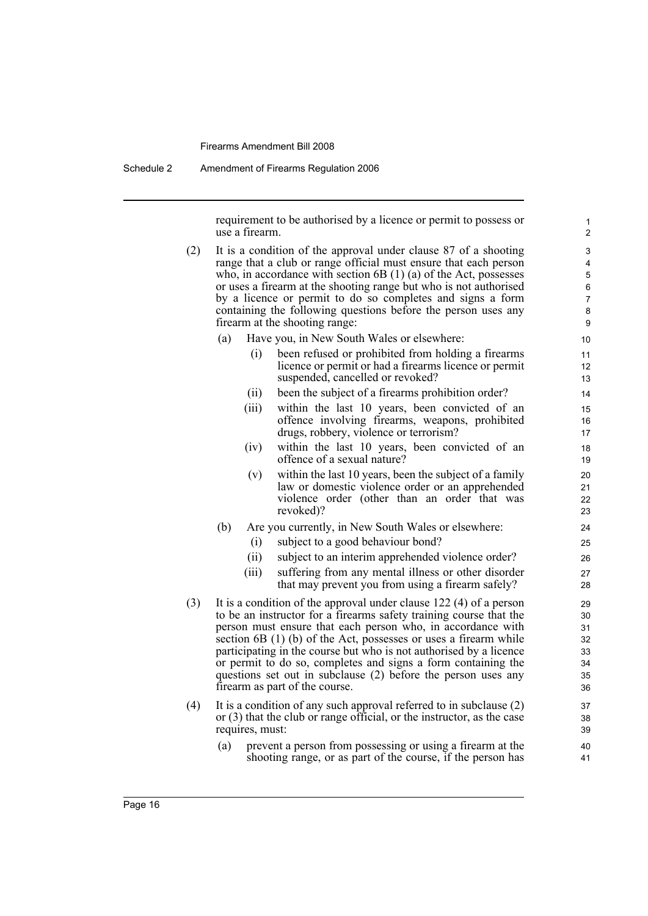Schedule 2 Amendment of Firearms Regulation 2006

requirement to be authorised by a licence or permit to possess or use a firearm.

- (2) It is a condition of the approval under clause 87 of a shooting range that a club or range official must ensure that each person who, in accordance with section 6B (1) (a) of the Act, possesses or uses a firearm at the shooting range but who is not authorised by a licence or permit to do so completes and signs a form containing the following questions before the person uses any firearm at the shooting range:
	- (a) Have you, in New South Wales or elsewhere:
		- (i) been refused or prohibited from holding a firearms licence or permit or had a firearms licence or permit suspended, cancelled or revoked?
		- (ii) been the subject of a firearms prohibition order?
		- (iii) within the last 10 years, been convicted of an offence involving firearms, weapons, prohibited drugs, robbery, violence or terrorism?
		- (iv) within the last 10 years, been convicted of an offence of a sexual nature?
		- (v) within the last 10 years, been the subject of a family law or domestic violence order or an apprehended violence order (other than an order that was revoked)?
	- (b) Are you currently, in New South Wales or elsewhere:
		- (i) subject to a good behaviour bond?
		- (ii) subject to an interim apprehended violence order?
		- (iii) suffering from any mental illness or other disorder that may prevent you from using a firearm safely?
- (3) It is a condition of the approval under clause 122 (4) of a person to be an instructor for a firearms safety training course that the person must ensure that each person who, in accordance with section 6B (1) (b) of the Act, possesses or uses a firearm while participating in the course but who is not authorised by a licence or permit to do so, completes and signs a form containing the questions set out in subclause (2) before the person uses any firearm as part of the course.
- (4) It is a condition of any such approval referred to in subclause (2) or (3) that the club or range official, or the instructor, as the case requires, must:
	- (a) prevent a person from possessing or using a firearm at the shooting range, or as part of the course, if the person has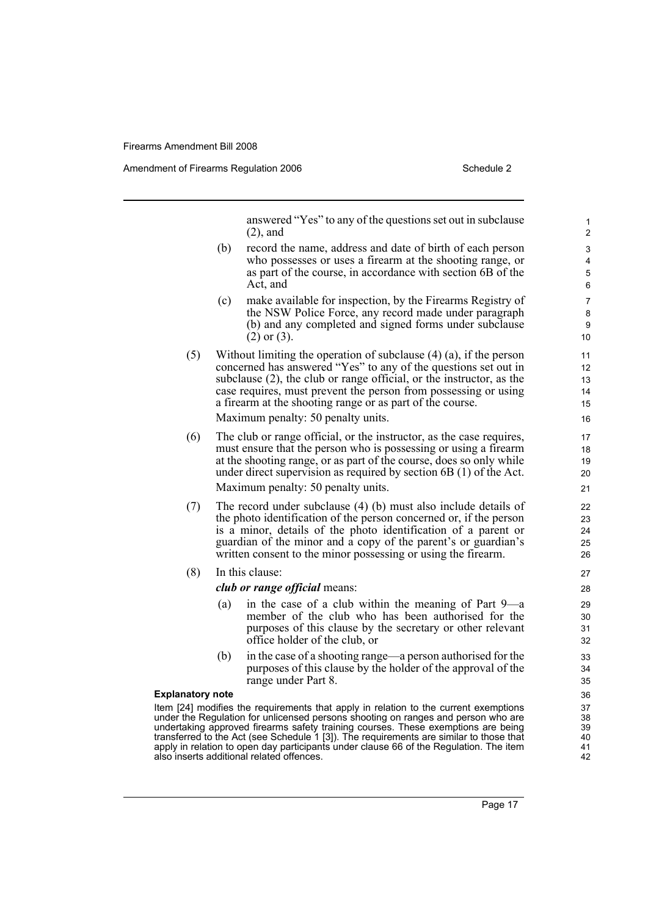Amendment of Firearms Regulation 2006 Schedule 2

answered "Yes" to any of the questions set out in subclause (2), and

- (b) record the name, address and date of birth of each person who possesses or uses a firearm at the shooting range, or as part of the course, in accordance with section 6B of the Act, and
- (c) make available for inspection, by the Firearms Registry of the NSW Police Force, any record made under paragraph (b) and any completed and signed forms under subclause (2) or (3).
- (5) Without limiting the operation of subclause (4) (a), if the person concerned has answered "Yes" to any of the questions set out in subclause (2), the club or range official, or the instructor, as the case requires, must prevent the person from possessing or using a firearm at the shooting range or as part of the course. Maximum penalty: 50 penalty units.
	-
- (6) The club or range official, or the instructor, as the case requires, must ensure that the person who is possessing or using a firearm at the shooting range, or as part of the course, does so only while under direct supervision as required by section 6B (1) of the Act. Maximum penalty: 50 penalty units.
- (7) The record under subclause (4) (b) must also include details of the photo identification of the person concerned or, if the person is a minor, details of the photo identification of a parent or guardian of the minor and a copy of the parent's or guardian's written consent to the minor possessing or using the firearm.
- (8) In this clause:

#### *club or range official* means:

- (a) in the case of a club within the meaning of Part 9—a member of the club who has been authorised for the purposes of this clause by the secretary or other relevant office holder of the club, or
- (b) in the case of a shooting range—a person authorised for the purposes of this clause by the holder of the approval of the range under Part 8.

#### **Explanatory note**

Item [24] modifies the requirements that apply in relation to the current exemptions under the Regulation for unlicensed persons shooting on ranges and person who are undertaking approved firearms safety training courses. These exemptions are being transferred to the Act (see Schedule 1 [3]). The requirements are similar to those that apply in relation to open day participants under clause 66 of the Regulation. The item also inserts additional related offences.